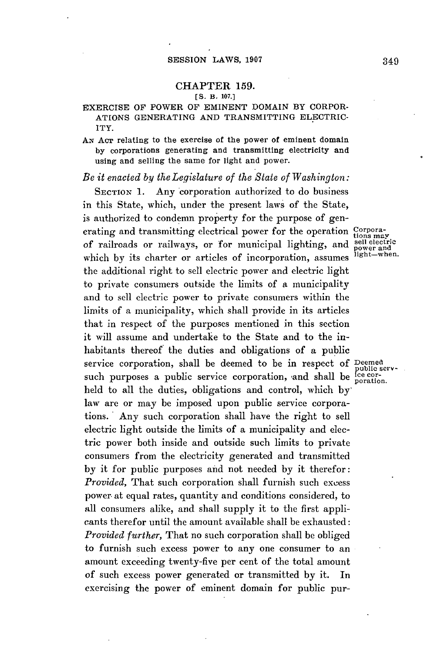## **CHAPTER 159.**

## **[S. B. 107.]**

## EXERCISE OF POWER OF EMINENT DOMAIN BY CORPOR-ATIONS GENERATING **AND TRANSMITTING** ELECTRIC-ITY.

AN **ACT** relating to the exercise of the power of eminent domain **by** corporations generating and transmitting electricity and using and selling the same for light and power.

*Be it enacted by the Legislature of the State of Washington:*

**SECTION 1.** Any corporation authorized to do business in this State, which, under the present laws of the State, is authorized to condemn property for the purpose of generating and transmitting electrical power for the operation **Corpora**of railroads or railways, or for municipal lighting, and sell electric which by its charter or articles of incorporation, assumes  ${}^{light-when.}$ the additional right to sell electric power and electric light to private consumers outside the limits of a municipality and to sell electric power to private consumers within the limits of a municipality, which shall provide in its articles that in respect of the purposes mentioned in this section it will assume and undertake to the State and to the inhabitants thereof the duties and obligations of a public service corporation, shall be deemed to be in respect **of** Deemed service corporation, shall be decided to be in respect of public serv-<br>such purposes a public service corporation, and shall be league held to all the duties, obligations and control, which **by'** law are or may be imposed upon public service corporations. Any such corporation shall have the right to sell electric light outside the limits of a municipality and electric power both inside and outside such limits to private consumers from the electricity generated and transmitted **by** it for public purposes and not needed **by** it therefor: *Provided,* That such corporation shall furnish such excess power. at equal rates, quantity and conditions considered, to all consumers alike, and shall supply it to the first applicants therefor until the amount available shall be exhausted: *Provided further,* That no such corporation shall be obliged to furnish such excess power to any one consumer to an amount exceeding twenty-five per cent of the total amount of such excess power generated or transmitted **by** it. In exercising the power of eminent domain for public pur-